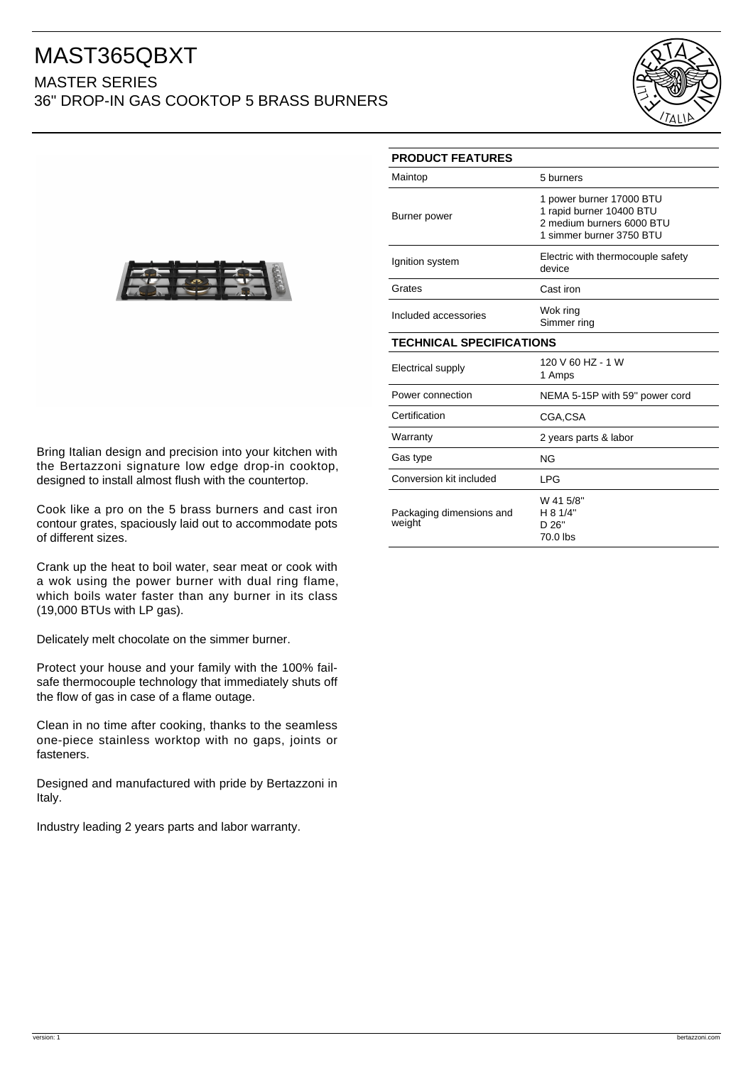## MAST365QBXT MASTER SERIES

36" DROP-IN GAS COOKTOP 5 BRASS BURNERS





Bring Italian design and precision into your kitchen with the Bertazzoni signature low edge drop-in cooktop, designed to install almost flush with the countertop.

Cook like a pro on the 5 brass burners and cast iron contour grates, spaciously laid out to accommodate pots of different sizes.

Crank up the heat to boil water, sear meat or cook with a wok using the power burner with dual ring flame, which boils water faster than any burner in its class (19,000 BTUs with LP gas).

Delicately melt chocolate on the simmer burner.

Protect your house and your family with the 100% failsafe thermocouple technology that immediately shuts off the flow of gas in case of a flame outage.

Clean in no time after cooking, thanks to the seamless one-piece stainless worktop with no gaps, joints or fasteners.

Designed and manufactured with pride by Bertazzoni in Italy.

Industry leading 2 years parts and labor warranty.

| <b>PRODUCT FEATURES</b>            |                                                                                                               |
|------------------------------------|---------------------------------------------------------------------------------------------------------------|
| Maintop                            | 5 burners                                                                                                     |
| Burner power                       | 1 power burner 17000 BTU<br>1 rapid burner 10400 BTU<br>2 medium burners 6000 BTU<br>1 simmer burner 3750 BTU |
| Ignition system                    | Electric with thermocouple safety<br>device                                                                   |
| Grates                             | Cast iron                                                                                                     |
| Included accessories               | Wok ring<br>Simmer ring                                                                                       |
| <b>TECHNICAL SPECIFICATIONS</b>    |                                                                                                               |
| Electrical supply                  | 120 V 60 HZ - 1 W<br>1 Amps                                                                                   |
| Power connection                   | NEMA 5-15P with 59" power cord                                                                                |
| Certification                      | CGA.CSA                                                                                                       |
| Warranty                           | 2 years parts & labor                                                                                         |
| Gas type                           | <b>NG</b>                                                                                                     |
| Conversion kit included            | <b>LPG</b>                                                                                                    |
| Packaging dimensions and<br>weight | W 41 5/8"<br>H 8 1/4"<br>D 26"<br>70.0 lbs                                                                    |